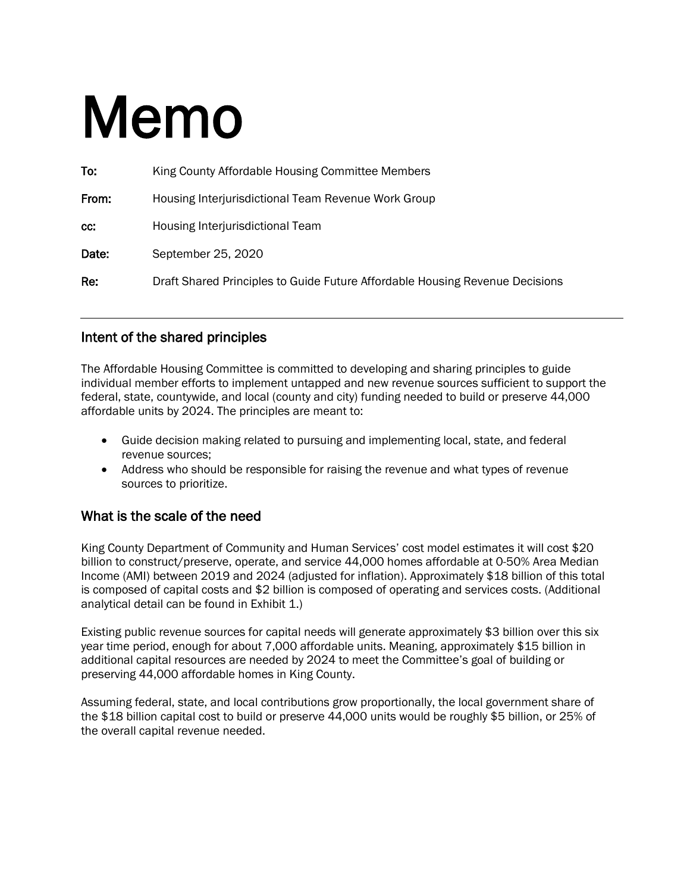# Memo

| To:   | King County Affordable Housing Committee Members                             |
|-------|------------------------------------------------------------------------------|
| From: | Housing Interjurisdictional Team Revenue Work Group                          |
| CC:   | Housing Interjurisdictional Team                                             |
| Date: | September 25, 2020                                                           |
| Re:   | Draft Shared Principles to Guide Future Affordable Housing Revenue Decisions |

#### Intent of the shared principles

The Affordable Housing Committee is committed to developing and sharing principles to guide individual member efforts to implement untapped and new revenue sources sufficient to support the federal, state, countywide, and local (county and city) funding needed to build or preserve 44,000 affordable units by 2024. The principles are meant to:

- Guide decision making related to pursuing and implementing local, state, and federal revenue sources;
- Address who should be responsible for raising the revenue and what types of revenue sources to prioritize.

#### What is the scale of the need

King County Department of Community and Human Services' cost model estimates it will cost \$20 billion to construct/preserve, operate, and service 44,000 homes affordable at 0-50% Area Median Income (AMI) between 2019 and 2024 (adjusted for inflation). Approximately \$18 billion of this total is composed of capital costs and \$2 billion is composed of operating and services costs. (Additional analytical detail can be found in Exhibit 1.)

Existing public revenue sources for capital needs will generate approximately \$3 billion over this six year time period, enough for about 7,000 affordable units. Meaning, approximately \$15 billion in additional capital resources are needed by 2024 to meet the Committee's goal of building or preserving 44,000 affordable homes in King County.

Assuming federal, state, and local contributions grow proportionally, the local government share of the \$18 billion capital cost to build or preserve 44,000 units would be roughly \$5 billion, or 25% of the overall capital revenue needed.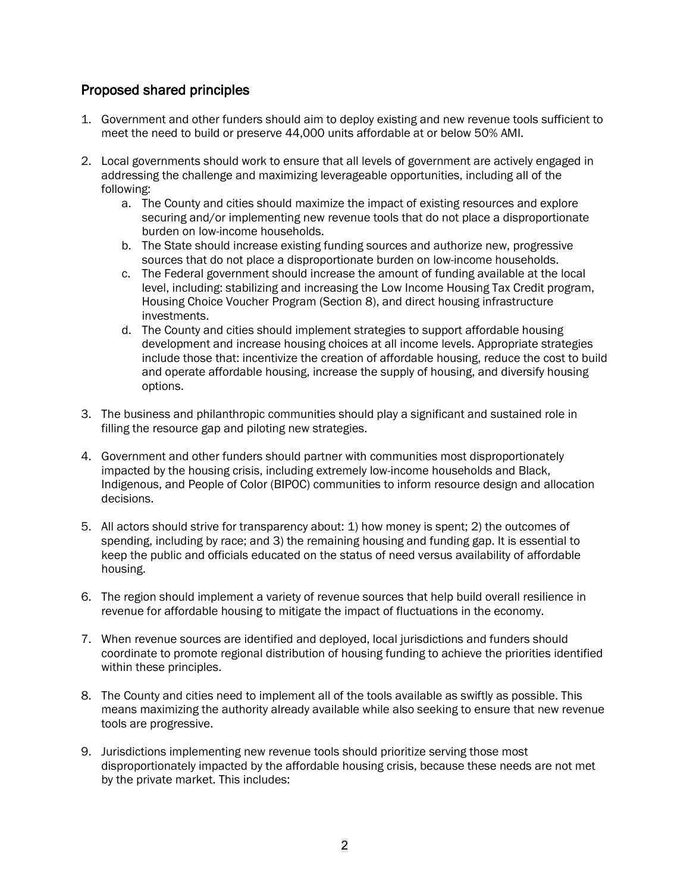#### Proposed shared principles

- 1. Government and other funders should aim to deploy existing and new revenue tools sufficient to meet the need to build or preserve 44,000 units affordable at or below 50% AMI.
- 2. Local governments should work to ensure that all levels of government are actively engaged in addressing the challenge and maximizing leverageable opportunities, including all of the following:
	- a. The County and cities should maximize the impact of existing resources and explore securing and/or implementing new revenue tools that do not place a disproportionate burden on low-income households.
	- b. The State should increase existing funding sources and authorize new, progressive sources that do not place a disproportionate burden on low-income households.
	- c. The Federal government should increase the amount of funding available at the local level, including: stabilizing and increasing the Low Income Housing Tax Credit program, Housing Choice Voucher Program (Section 8), and direct housing infrastructure investments.
	- d. The County and cities should implement strategies to support affordable housing development and increase housing choices at all income levels. Appropriate strategies include those that: incentivize the creation of affordable housing, reduce the cost to build and operate affordable housing, increase the supply of housing, and diversify housing options.
- 3. The business and philanthropic communities should play a significant and sustained role in filling the resource gap and piloting new strategies.
- 4. Government and other funders should partner with communities most disproportionately impacted by the housing crisis, including extremely low-income households and Black, Indigenous, and People of Color (BIPOC) communities to inform resource design and allocation decisions.
- 5. All actors should strive for transparency about: 1) how money is spent; 2) the outcomes of spending, including by race; and 3) the remaining housing and funding gap. It is essential to keep the public and officials educated on the status of need versus availability of affordable housing.
- 6. The region should implement a variety of revenue sources that help build overall resilience in revenue for affordable housing to mitigate the impact of fluctuations in the economy.
- 7. When revenue sources are identified and deployed, local jurisdictions and funders should coordinate to promote regional distribution of housing funding to achieve the priorities identified within these principles.
- 8. The County and cities need to implement all of the tools available as swiftly as possible. This means maximizing the authority already available while also seeking to ensure that new revenue tools are progressive.
- 9. Jurisdictions implementing new revenue tools should prioritize serving those most disproportionately impacted by the affordable housing crisis, because these needs are not met by the private market. This includes: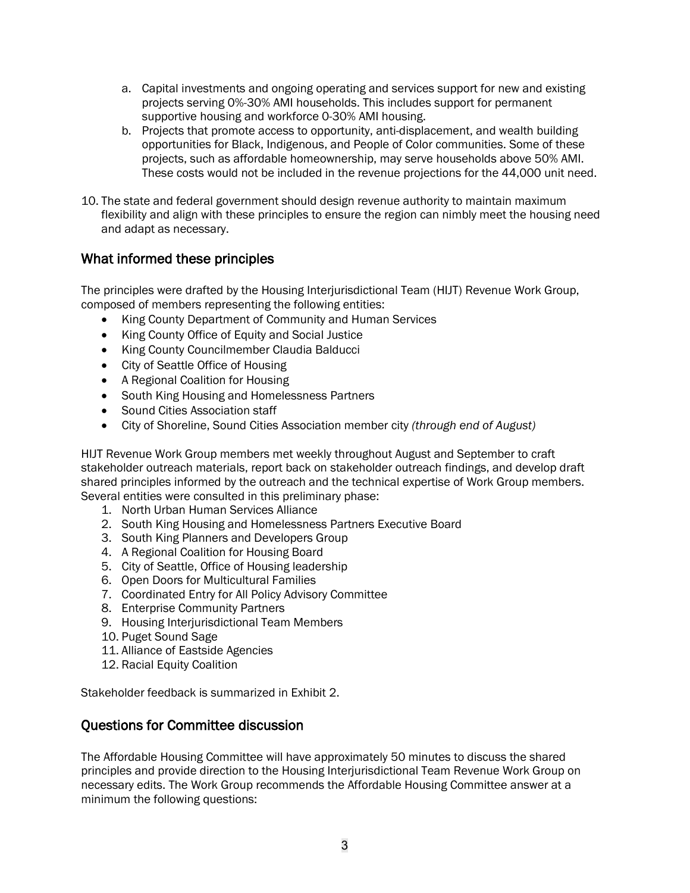- a. Capital investments and ongoing operating and services support for new and existing projects serving 0%-30% AMI households. This includes support for permanent supportive housing and workforce 0-30% AMI housing.
- b. Projects that promote access to opportunity, anti-displacement, and wealth building opportunities for Black, Indigenous, and People of Color communities. Some of these projects, such as affordable homeownership, may serve households above 50% AMI. These costs would not be included in the revenue projections for the 44,000 unit need.
- 10. The state and federal government should design revenue authority to maintain maximum flexibility and align with these principles to ensure the region can nimbly meet the housing need and adapt as necessary.

#### What informed these principles

The principles were drafted by the Housing Interjurisdictional Team (HIJT) Revenue Work Group, composed of members representing the following entities:

- King County Department of Community and Human Services
- King County Office of Equity and Social Justice
- King County Councilmember Claudia Balducci
- City of Seattle Office of Housing
- A Regional Coalition for Housing
- South King Housing and Homelessness Partners
- Sound Cities Association staff
- City of Shoreline, Sound Cities Association member city *(through end of August)*

HIJT Revenue Work Group members met weekly throughout August and September to craft stakeholder outreach materials, report back on stakeholder outreach findings, and develop draft shared principles informed by the outreach and the technical expertise of Work Group members. Several entities were consulted in this preliminary phase:

- 1. North Urban Human Services Alliance
- 2. South King Housing and Homelessness Partners Executive Board
- 3. South King Planners and Developers Group
- 4. A Regional Coalition for Housing Board
- 5. City of Seattle, Office of Housing leadership
- 6. Open Doors for Multicultural Families
- 7. Coordinated Entry for All Policy Advisory Committee
- 8. Enterprise Community Partners
- 9. Housing Interjurisdictional Team Members
- 10. Puget Sound Sage
- 11. Alliance of Eastside Agencies
- 12. Racial Equity Coalition

Stakeholder feedback is summarized in Exhibit 2.

#### Questions for Committee discussion

The Affordable Housing Committee will have approximately 50 minutes to discuss the shared principles and provide direction to the Housing Interjurisdictional Team Revenue Work Group on necessary edits. The Work Group recommends the Affordable Housing Committee answer at a minimum the following questions: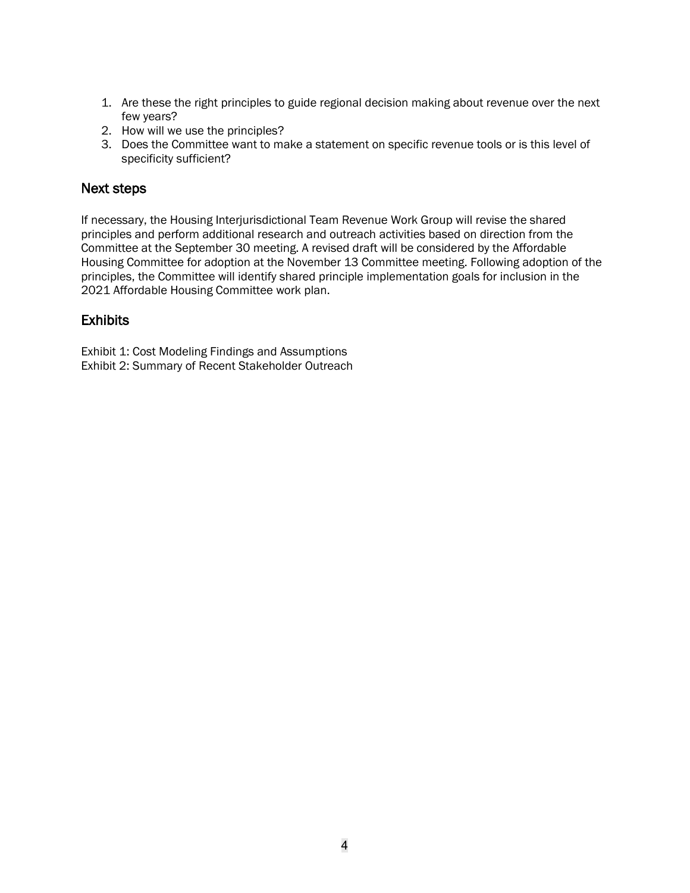- 1. Are these the right principles to guide regional decision making about revenue over the next few years?
- 2. How will we use the principles?
- 3. Does the Committee want to make a statement on specific revenue tools or is this level of specificity sufficient?

#### Next steps

If necessary, the Housing Interjurisdictional Team Revenue Work Group will revise the shared principles and perform additional research and outreach activities based on direction from the Committee at the September 30 meeting. A revised draft will be considered by the Affordable Housing Committee for adoption at the November 13 Committee meeting. Following adoption of the principles, the Committee will identify shared principle implementation goals for inclusion in the 2021 Affordable Housing Committee work plan.

#### **Exhibits**

Exhibit 1: Cost Modeling Findings and Assumptions Exhibit 2: Summary of Recent Stakeholder Outreach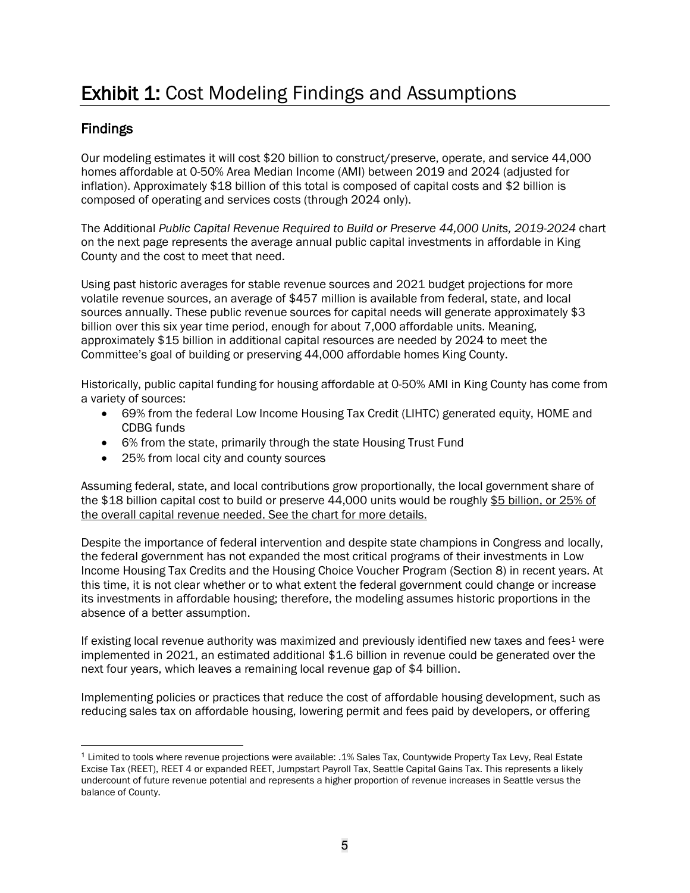## Exhibit 1: Cost Modeling Findings and Assumptions

#### Findings

Our modeling estimates it will cost \$20 billion to construct/preserve, operate, and service 44,000 homes affordable at 0-50% Area Median Income (AMI) between 2019 and 2024 (adjusted for inflation). Approximately \$18 billion of this total is composed of capital costs and \$2 billion is composed of operating and services costs (through 2024 only).

The Additional *Public Capital Revenue Required to Build or Preserve 44,000 Units, 2019-2024* chart on the next page represents the average annual public capital investments in affordable in King County and the cost to meet that need.

Using past historic averages for stable revenue sources and 2021 budget projections for more volatile revenue sources, an average of \$457 million is available from federal, state, and local sources annually. These public revenue sources for capital needs will generate approximately \$3 billion over this six year time period, enough for about 7,000 affordable units. Meaning, approximately \$15 billion in additional capital resources are needed by 2024 to meet the Committee's goal of building or preserving 44,000 affordable homes King County.

Historically, public capital funding for housing affordable at 0-50% AMI in King County has come from a variety of sources:

- 69% from the federal Low Income Housing Tax Credit (LIHTC) generated equity, HOME and CDBG funds
- 6% from the state, primarily through the state Housing Trust Fund
- 25% from local city and county sources

Assuming federal, state, and local contributions grow proportionally, the local government share of the \$18 billion capital cost to build or preserve 44,000 units would be roughly \$5 billion, or 25% of the overall capital revenue needed. See the chart for more details.

Despite the importance of federal intervention and despite state champions in Congress and locally, the federal government has not expanded the most critical programs of their investments in Low Income Housing Tax Credits and the Housing Choice Voucher Program (Section 8) in recent years. At this time, it is not clear whether or to what extent the federal government could change or increase its investments in affordable housing; therefore, the modeling assumes historic proportions in the absence of a better assumption.

If existing local revenue authority was maximized and previously identified new taxes and fees $1$  were implemented in 2021, an estimated additional \$1.6 billion in revenue could be generated over the next four years, which leaves a remaining local revenue gap of \$4 billion.

Implementing policies or practices that reduce the cost of affordable housing development, such as reducing sales tax on affordable housing, lowering permit and fees paid by developers, or offering

<span id="page-4-0"></span><sup>1</sup> Limited to tools where revenue projections were available: .1% Sales Tax, Countywide Property Tax Levy, Real Estate Excise Tax (REET), REET 4 or expanded REET, Jumpstart Payroll Tax, Seattle Capital Gains Tax. This represents a likely undercount of future revenue potential and represents a higher proportion of revenue increases in Seattle versus the balance of County.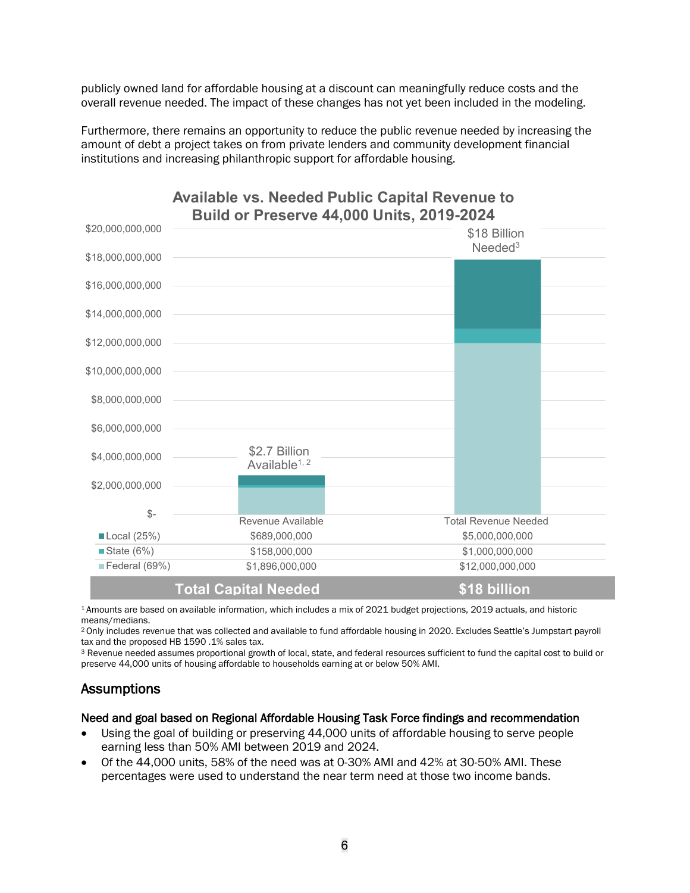publicly owned land for affordable housing at a discount can meaningfully reduce costs and the overall revenue needed. The impact of these changes has not yet been included in the modeling.

Furthermore, there remains an opportunity to reduce the public revenue needed by increasing the amount of debt a project takes on from private lenders and community development financial institutions and increasing philanthropic support for affordable housing.



# **Available vs. Needed Public Capital Revenue to**

1 Amounts are based on available information, which includes a mix of 2021 budget projections, 2019 actuals, and historic means/medians.

<sup>2</sup> Only includes revenue that was collected and available to fund affordable housing in 2020. Excludes Seattle's Jumpstart payroll tax and the proposed HB 1590 .1% sales tax.

<sup>3</sup> Revenue needed assumes proportional growth of local, state, and federal resources sufficient to fund the capital cost to build or preserve 44,000 units of housing affordable to households earning at or below 50% AMI.

#### **Assumptions**

#### Need and goal based on Regional Affordable Housing Task Force findings and recommendation

- Using the goal of building or preserving 44,000 units of affordable housing to serve people earning less than 50% AMI between 2019 and 2024.
- Of the 44,000 units, 58% of the need was at 0-30% AMI and 42% at 30-50% AMI. These percentages were used to understand the near term need at those two income bands.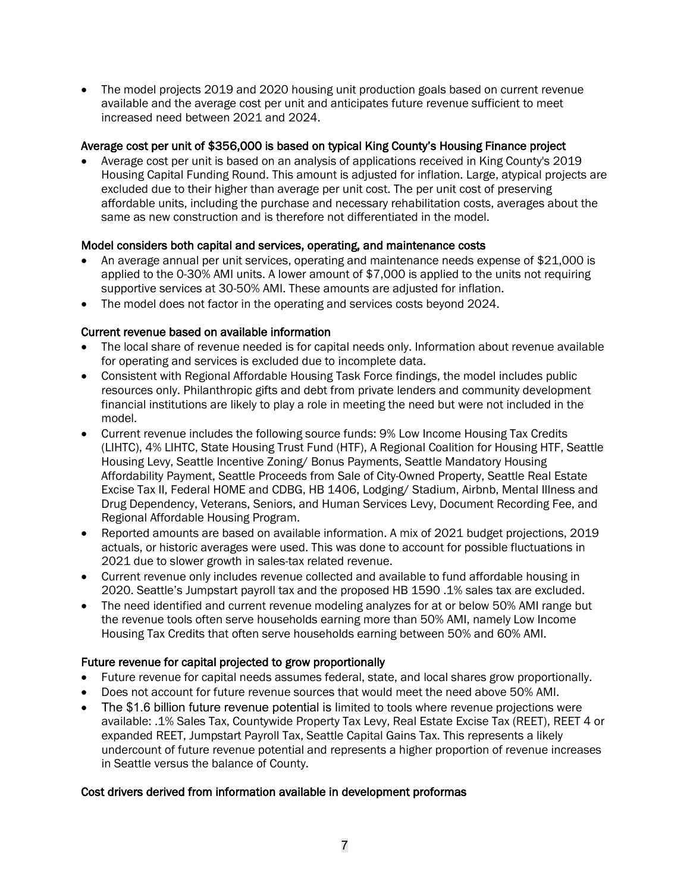• The model projects 2019 and 2020 housing unit production goals based on current revenue available and the average cost per unit and anticipates future revenue sufficient to meet increased need between 2021 and 2024.

#### Average cost per unit of \$356,000 is based on typical King County's Housing Finance project

• Average cost per unit is based on an analysis of applications received in King County's 2019 Housing Capital Funding Round. This amount is adjusted for inflation. Large, atypical projects are excluded due to their higher than average per unit cost. The per unit cost of preserving affordable units, including the purchase and necessary rehabilitation costs, averages about the same as new construction and is therefore not differentiated in the model.

#### Model considers both capital and services, operating, and maintenance costs

- An average annual per unit services, operating and maintenance needs expense of \$21,000 is applied to the 0-30% AMI units. A lower amount of \$7,000 is applied to the units not requiring supportive services at 30-50% AMI. These amounts are adjusted for inflation.
- The model does not factor in the operating and services costs beyond 2024.

#### Current revenue based on available information

- The local share of revenue needed is for capital needs only. Information about revenue available for operating and services is excluded due to incomplete data.
- Consistent with Regional Affordable Housing Task Force findings, the model includes public resources only. Philanthropic gifts and debt from private lenders and community development financial institutions are likely to play a role in meeting the need but were not included in the model.
- Current revenue includes the following source funds: 9% Low Income Housing Tax Credits (LIHTC), 4% LIHTC, State Housing Trust Fund (HTF), A Regional Coalition for Housing HTF, Seattle Housing Levy, Seattle Incentive Zoning/ Bonus Payments, Seattle Mandatory Housing Affordability Payment, Seattle Proceeds from Sale of City-Owned Property, Seattle Real Estate Excise Tax II, Federal HOME and CDBG, HB 1406, Lodging/ Stadium, Airbnb, Mental Illness and Drug Dependency, Veterans, Seniors, and Human Services Levy, Document Recording Fee, and Regional Affordable Housing Program.
- Reported amounts are based on available information. A mix of 2021 budget projections, 2019 actuals, or historic averages were used. This was done to account for possible fluctuations in 2021 due to slower growth in sales-tax related revenue.
- Current revenue only includes revenue collected and available to fund affordable housing in 2020. Seattle's Jumpstart payroll tax and the proposed HB 1590 .1% sales tax are excluded.
- The need identified and current revenue modeling analyzes for at or below 50% AMI range but the revenue tools often serve households earning more than 50% AMI, namely Low Income Housing Tax Credits that often serve households earning between 50% and 60% AMI.

#### Future revenue for capital projected to grow proportionally

- Future revenue for capital needs assumes federal, state, and local shares grow proportionally.
- Does not account for future revenue sources that would meet the need above 50% AMI.
- The \$1.6 billion future revenue potential is limited to tools where revenue projections were available: .1% Sales Tax, Countywide Property Tax Levy, Real Estate Excise Tax (REET), REET 4 or expanded REET, Jumpstart Payroll Tax, Seattle Capital Gains Tax. This represents a likely undercount of future revenue potential and represents a higher proportion of revenue increases in Seattle versus the balance of County.

#### Cost drivers derived from information available in development proformas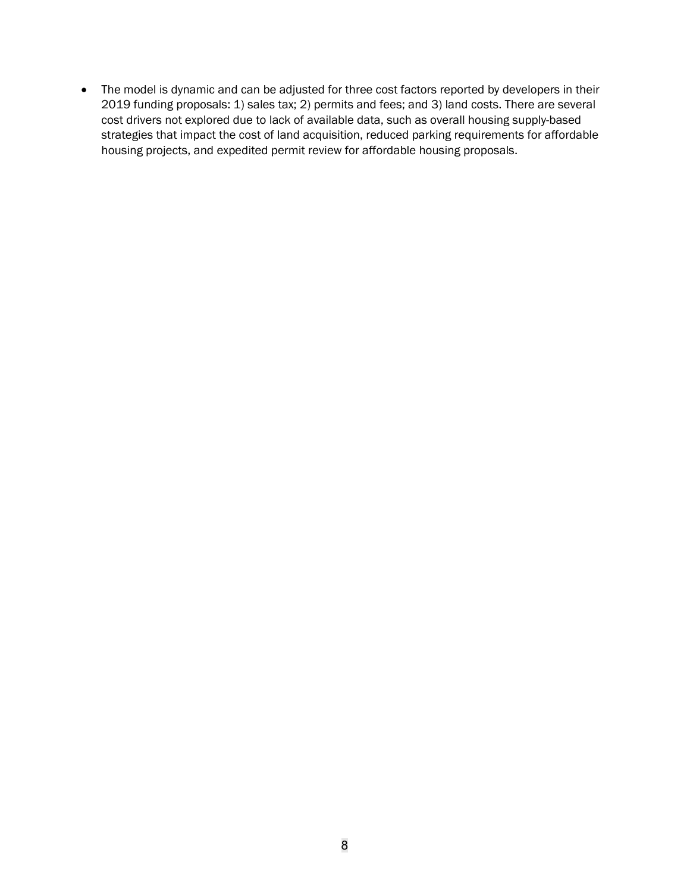• The model is dynamic and can be adjusted for three cost factors reported by developers in their 2019 funding proposals: 1) sales tax; 2) permits and fees; and 3) land costs. There are several cost drivers not explored due to lack of available data, such as overall housing supply-based strategies that impact the cost of land acquisition, reduced parking requirements for affordable housing projects, and expedited permit review for affordable housing proposals.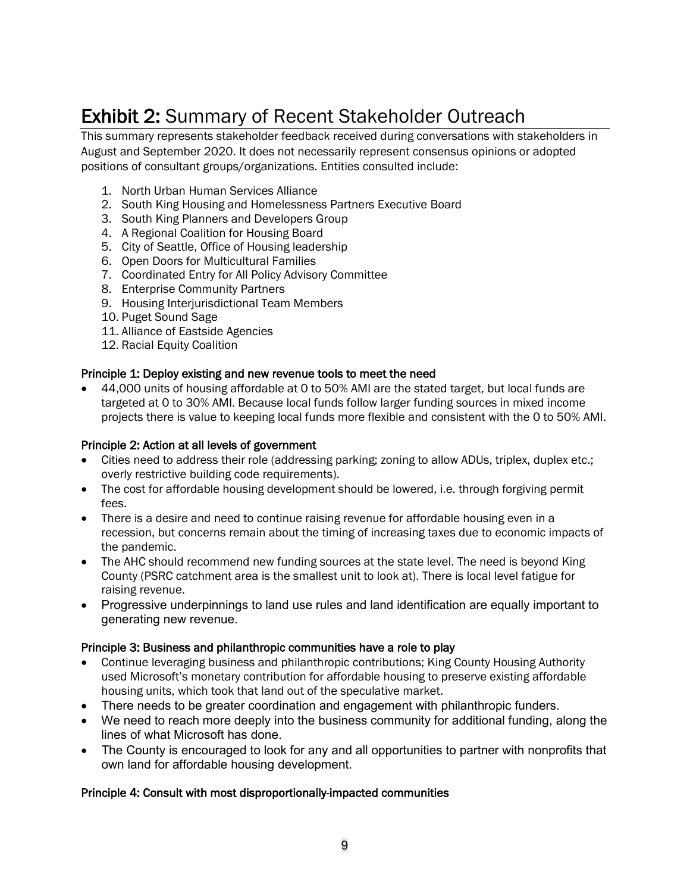### Exhibit 2: Summary of Recent Stakeholder Outreach

This summary represents stakeholder feedback received during conversations with stakeholders in August and September 2020. It does not necessarily represent consensus opinions or adopted positions of consultant groups/organizations. Entities consulted include:

- 1. North Urban Human Services Alliance
- 2. South King Housing and Homelessness Partners Executive Board
- 3. South King Planners and Developers Group
- 4. A Regional Coalition for Housing Board
- 5. City of Seattle, Office of Housing leadership
- 6. Open Doors for Multicultural Families
- 7. Coordinated Entry for All Policy Advisory Committee
- 8. Enterprise Community Partners
- 9. Housing Interjurisdictional Team Members
- 10. Puget Sound Sage
- 11. Alliance of Eastside Agencies
- 12. Racial Equity Coalition

#### Principle 1: Deploy existing and new revenue tools to meet the need

• 44,000 units of housing affordable at 0 to 50% AMI are the stated target, but local funds are targeted at 0 to 30% AMI. Because local funds follow larger funding sources in mixed income projects there is value to keeping local funds more flexible and consistent with the 0 to 50% AMI.

#### Principle 2: Action at all levels of government

- Cities need to address their role (addressing parking; zoning to allow ADUs, triplex, duplex etc.; overly restrictive building code requirements).
- The cost for affordable housing development should be lowered, i.e. through forgiving permit fees.
- There is a desire and need to continue raising revenue for affordable housing even in a recession, but concerns remain about the timing of increasing taxes due to economic impacts of the pandemic.
- The AHC should recommend new funding sources at the state level. The need is beyond King County (PSRC catchment area is the smallest unit to look at). There is local level fatigue for raising revenue.
- Progressive underpinnings to land use rules and land identification are equally important to generating new revenue.

#### Principle 3: Business and philanthropic communities have a role to play

- Continue leveraging business and philanthropic contributions; King County Housing Authority used Microsoft's monetary contribution for affordable housing to preserve existing affordable housing units, which took that land out of the speculative market.
- There needs to be greater coordination and engagement with philanthropic funders.
- We need to reach more deeply into the business community for additional funding, along the lines of what Microsoft has done.
- The County is encouraged to look for any and all opportunities to partner with nonprofits that own land for affordable housing development.

#### Principle 4: Consult with most disproportionally-impacted communities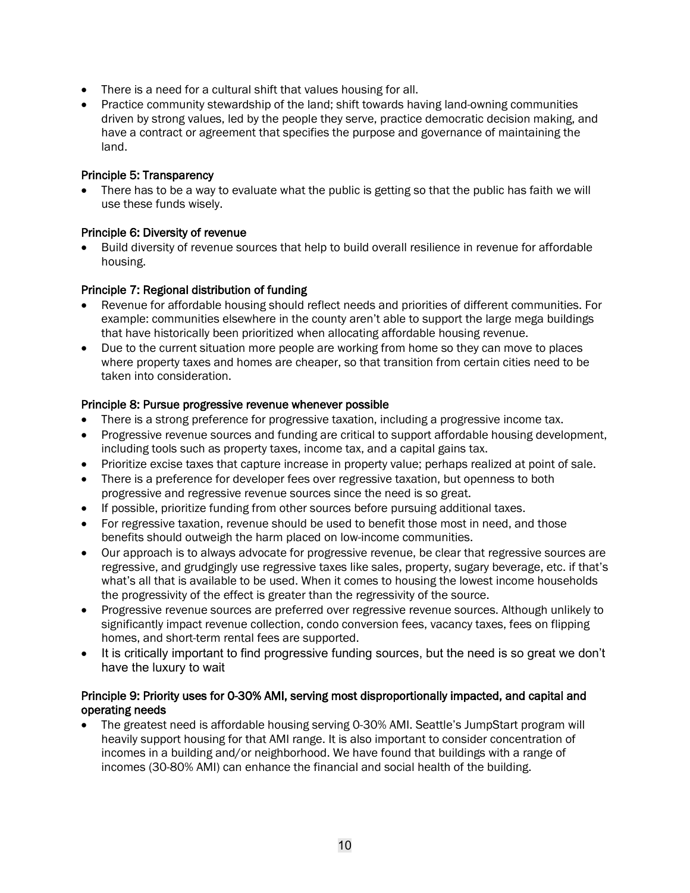- There is a need for a cultural shift that values housing for all.
- Practice community stewardship of the land; shift towards having land-owning communities driven by strong values, led by the people they serve, practice democratic decision making, and have a contract or agreement that specifies the purpose and governance of maintaining the land.

#### Principle 5: Transparency

• There has to be a way to evaluate what the public is getting so that the public has faith we will use these funds wisely.

#### Principle 6: Diversity of revenue

Build diversity of revenue sources that help to build overall resilience in revenue for affordable housing.

#### Principle 7: Regional distribution of funding

- Revenue for affordable housing should reflect needs and priorities of different communities. For example: communities elsewhere in the county aren't able to support the large mega buildings that have historically been prioritized when allocating affordable housing revenue.
- Due to the current situation more people are working from home so they can move to places where property taxes and homes are cheaper, so that transition from certain cities need to be taken into consideration.

#### Principle 8: Pursue progressive revenue whenever possible

- There is a strong preference for progressive taxation, including a progressive income tax.
- Progressive revenue sources and funding are critical to support affordable housing development, including tools such as property taxes, income tax, and a capital gains tax.
- Prioritize excise taxes that capture increase in property value; perhaps realized at point of sale.
- There is a preference for developer fees over regressive taxation, but openness to both progressive and regressive revenue sources since the need is so great.
- If possible, prioritize funding from other sources before pursuing additional taxes.
- For regressive taxation, revenue should be used to benefit those most in need, and those benefits should outweigh the harm placed on low-income communities.
- Our approach is to always advocate for progressive revenue, be clear that regressive sources are regressive, and grudgingly use regressive taxes like sales, property, sugary beverage, etc. if that's what's all that is available to be used. When it comes to housing the lowest income households the progressivity of the effect is greater than the regressivity of the source.
- Progressive revenue sources are preferred over regressive revenue sources. Although unlikely to significantly impact revenue collection, condo conversion fees, vacancy taxes, fees on flipping homes, and short-term rental fees are supported.
- It is critically important to find progressive funding sources, but the need is so great we don't have the luxury to wait

#### Principle 9: Priority uses for 0-30% AMI, serving most disproportionally impacted, and capital and operating needs

• The greatest need is affordable housing serving 0-30% AMI. Seattle's JumpStart program will heavily support housing for that AMI range. It is also important to consider concentration of incomes in a building and/or neighborhood. We have found that buildings with a range of incomes (30-80% AMI) can enhance the financial and social health of the building.